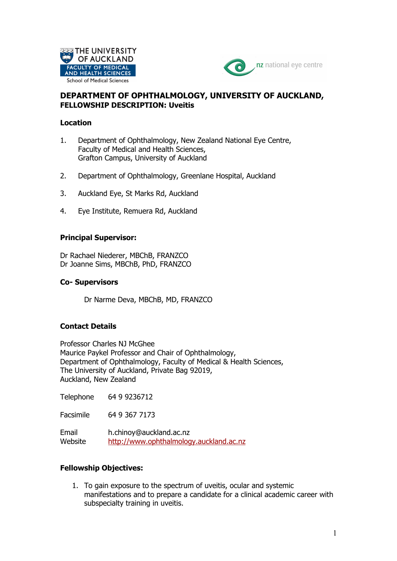



# **DEPARTMENT OF OPHTHALMOLOGY, UNIVERSITY OF AUCKLAND, FELLOWSHIP DESCRIPTION: Uveitis**

#### **Location**

- 1. Department of Ophthalmology, New Zealand National Eye Centre, Faculty of Medical and Health Sciences, Grafton Campus, University of Auckland
- 2. Department of Ophthalmology, Greenlane Hospital, Auckland
- 3. Auckland Eye, St Marks Rd, Auckland
- 4. Eye Institute, Remuera Rd, Auckland

### **Principal Supervisor:**

Dr Rachael Niederer, MBChB, FRANZCO Dr Joanne Sims, MBChB, PhD, FRANZCO

### **Co- Supervisors**

Dr Narme Deva, MBChB, MD, FRANZCO

## **Contact Details**

Professor Charles NJ McGhee Maurice Paykel Professor and Chair of Ophthalmology, Department of Ophthalmology, Faculty of Medical & Health Sciences, The University of Auckland, Private Bag 92019, Auckland, New Zealand

Telephone 64 9 9236712

Facsimile 64 9 367 7173

Email h.chinoy@auckland.ac.nz Website http://www.ophthalmology.auckland.ac.nz

## **Fellowship Objectives:**

1. To gain exposure to the spectrum of uveitis, ocular and systemic manifestations and to prepare a candidate for a clinical academic career with subspecialty training in uveitis.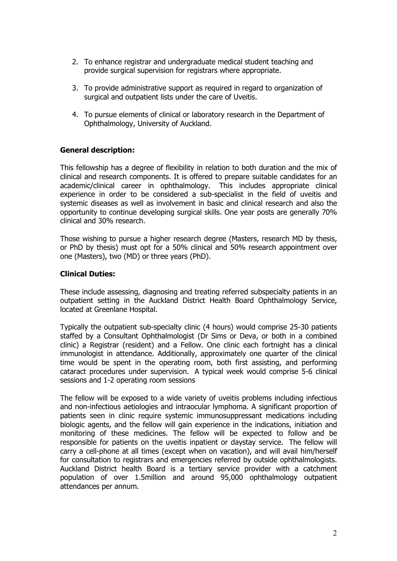- 2. To enhance registrar and undergraduate medical student teaching and provide surgical supervision for registrars where appropriate.
- 3. To provide administrative support as required in regard to organization of surgical and outpatient lists under the care of Uveitis.
- 4. To pursue elements of clinical or laboratory research in the Department of Ophthalmology, University of Auckland.

## **General description:**

This fellowship has a degree of flexibility in relation to both duration and the mix of clinical and research components. It is offered to prepare suitable candidates for an academic/clinical career in ophthalmology. This includes appropriate clinical experience in order to be considered a sub-specialist in the field of uveitis and systemic diseases as well as involvement in basic and clinical research and also the opportunity to continue developing surgical skills. One year posts are generally 70% clinical and 30% research.

Those wishing to pursue a higher research degree (Masters, research MD by thesis, or PhD by thesis) must opt for a 50% clinical and 50% research appointment over one (Masters), two (MD) or three years (PhD).

### **Clinical Duties:**

These include assessing, diagnosing and treating referred subspecialty patients in an outpatient setting in the Auckland District Health Board Ophthalmology Service, located at Greenlane Hospital.

Typically the outpatient sub-specialty clinic (4 hours) would comprise 25-30 patients staffed by a Consultant Ophthalmologist (Dr Sims or Deva, or both in a combined clinic) a Registrar (resident) and a Fellow. One clinic each fortnight has a clinical immunologist in attendance. Additionally, approximately one quarter of the clinical time would be spent in the operating room, both first assisting, and performing cataract procedures under supervision. A typical week would comprise 5-6 clinical sessions and 1-2 operating room sessions

The fellow will be exposed to a wide variety of uveitis problems including infectious and non-infectious aetiologies and intraocular lymphoma. A significant proportion of patients seen in clinic require systemic immunosuppressant medications including biologic agents, and the fellow will gain experience in the indications, initiation and monitoring of these medicines. The fellow will be expected to follow and be responsible for patients on the uveitis inpatient or daystay service. The fellow will carry a cell-phone at all times (except when on vacation), and will avail him/herself for consultation to registrars and emergencies referred by outside ophthalmologists. Auckland District health Board is a tertiary service provider with a catchment population of over 1.5million and around 95,000 ophthalmology outpatient attendances per annum.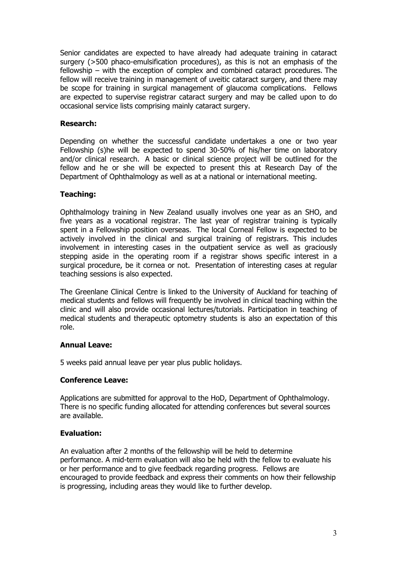Senior candidates are expected to have already had adequate training in cataract surgery (>500 phaco-emulsification procedures), as this is not an emphasis of the fellowship – with the exception of complex and combined cataract procedures. The fellow will receive training in management of uveitic cataract surgery, and there may be scope for training in surgical management of glaucoma complications. Fellows are expected to supervise registrar cataract surgery and may be called upon to do occasional service lists comprising mainly cataract surgery.

### **Research:**

Depending on whether the successful candidate undertakes a one or two year Fellowship (s)he will be expected to spend 30-50% of his/her time on laboratory and/or clinical research. A basic or clinical science project will be outlined for the fellow and he or she will be expected to present this at Research Day of the Department of Ophthalmology as well as at a national or international meeting.

### **Teaching:**

Ophthalmology training in New Zealand usually involves one year as an SHO, and five years as a vocational registrar. The last year of registrar training is typically spent in a Fellowship position overseas. The local Corneal Fellow is expected to be actively involved in the clinical and surgical training of registrars. This includes involvement in interesting cases in the outpatient service as well as graciously stepping aside in the operating room if a registrar shows specific interest in a surgical procedure, be it cornea or not. Presentation of interesting cases at regular teaching sessions is also expected.

The Greenlane Clinical Centre is linked to the University of Auckland for teaching of medical students and fellows will frequently be involved in clinical teaching within the clinic and will also provide occasional lectures/tutorials. Participation in teaching of medical students and therapeutic optometry students is also an expectation of this role.

#### **Annual Leave:**

5 weeks paid annual leave per year plus public holidays.

#### **Conference Leave:**

Applications are submitted for approval to the HoD, Department of Ophthalmology. There is no specific funding allocated for attending conferences but several sources are available.

## **Evaluation:**

An evaluation after 2 months of the fellowship will be held to determine performance. A mid-term evaluation will also be held with the fellow to evaluate his or her performance and to give feedback regarding progress. Fellows are encouraged to provide feedback and express their comments on how their fellowship is progressing, including areas they would like to further develop.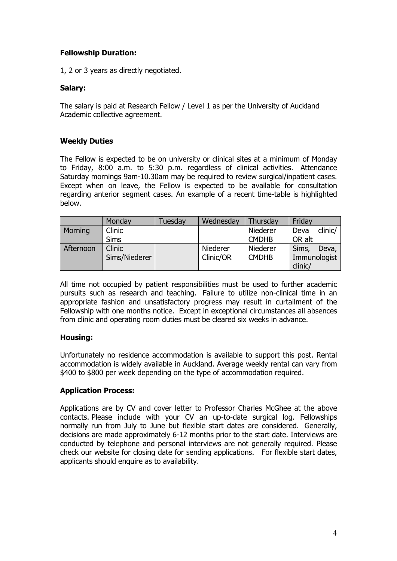# **Fellowship Duration:**

1, 2 or 3 years as directly negotiated.

### **Salary:**

The salary is paid at Research Fellow / Level 1 as per the University of Auckland Academic collective agreement.

### **Weekly Duties**

The Fellow is expected to be on university or clinical sites at a minimum of Monday to Friday, 8:00 a.m. to 5:30 p.m. regardless of clinical activities. Attendance Saturday mornings 9am-10.30am may be required to review surgical/inpatient cases. Except when on leave, the Fellow is expected to be available for consultation regarding anterior segment cases. An example of a recent time-table is highlighted below.

|           | Monday        | Tuesday | Wednesday | Thursday     | Friday          |
|-----------|---------------|---------|-----------|--------------|-----------------|
| Morning   | <b>Clinic</b> |         |           | Niederer     | clinic/<br>Deva |
|           | <b>Sims</b>   |         |           | <b>CMDHB</b> | OR alt          |
| Afternoon | <b>Clinic</b> |         | Niederer  | Niederer     | Sims,<br>Deva,  |
|           | Sims/Niederer |         | Clinic/OR | <b>CMDHB</b> | Immunologist    |
|           |               |         |           |              | clinic/         |

All time not occupied by patient responsibilities must be used to further academic pursuits such as research and teaching. Failure to utilize non-clinical time in an appropriate fashion and unsatisfactory progress may result in curtailment of the Fellowship with one months notice. Except in exceptional circumstances all absences from clinic and operating room duties must be cleared six weeks in advance.

## **Housing:**

Unfortunately no residence accommodation is available to support this post. Rental accommodation is widely available in Auckland. Average weekly rental can vary from \$400 to \$800 per week depending on the type of accommodation required.

## **Application Process:**

Applications are by CV and cover letter to Professor Charles McGhee at the above contacts. Please include with your CV an up-to-date surgical log. Fellowships normally run from July to June but flexible start dates are considered. Generally, decisions are made approximately 6-12 months prior to the start date. Interviews are conducted by telephone and personal interviews are not generally required. Please check our website for closing date for sending applications. For flexible start dates, applicants should enquire as to availability.